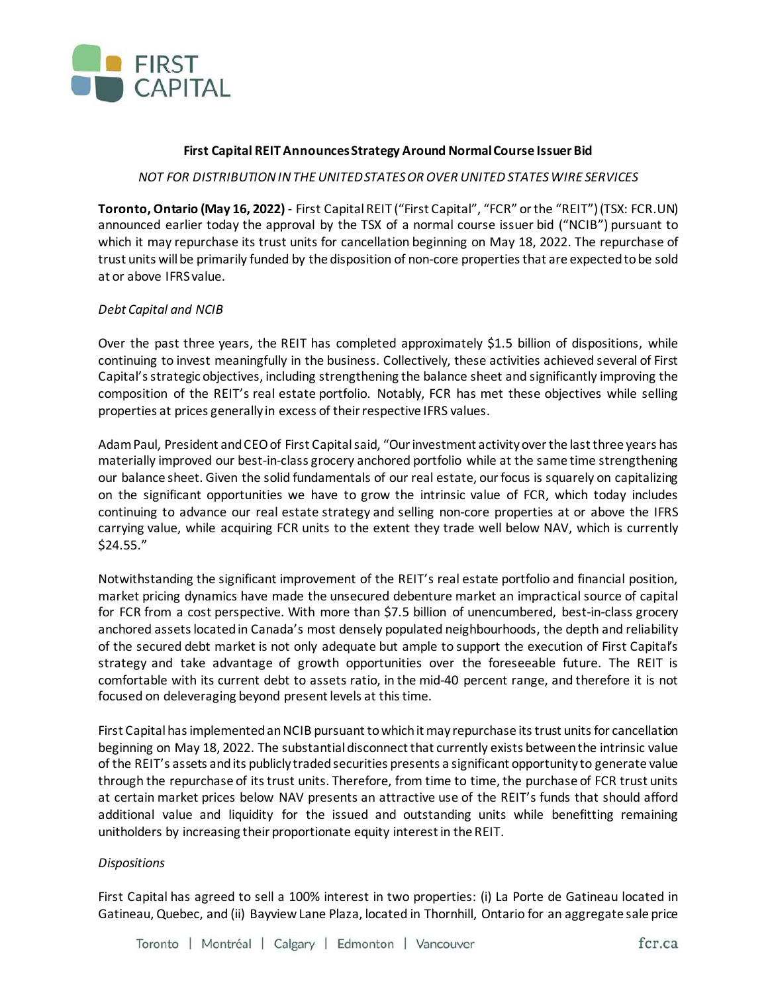

# **First Capital REIT AnnouncesStrategy Around Normal Course Issuer Bid**

# *NOT FOR DISTRIBUTION IN THE UNITED STATES OR OVER UNITED STATES WIRE SERVICES*

**Toronto, Ontario (May 16, 2022)** - First Capital REIT ("First Capital", "FCR" or the "REIT") (TSX: FCR.UN) announced earlier today the approval by the TSX of a normal course issuer bid ("NCIB") pursuant to which it may repurchase its trust units for cancellation beginning on May 18, 2022. The repurchase of trust units will be primarily funded by the disposition of non-core properties that are expected to be sold at or above IFRS value.

# *Debt Capital and NCIB*

Over the past three years, the REIT has completed approximately \$1.5 billion of dispositions, while continuing to invest meaningfully in the business. Collectively, these activities achieved several of First Capital's strategic objectives, including strengthening the balance sheet and significantly improving the composition of the REIT's real estate portfolio. Notably, FCR has met these objectives while selling properties at prices generally in excess of their respective IFRS values.

Adam Paul, President and CEO of First Capital said, "Our investment activity over the last three years has materially improved our best-in-class grocery anchored portfolio while at the same time strengthening our balance sheet. Given the solid fundamentals of our real estate, our focus is squarely on capitalizing on the significant opportunities we have to grow the intrinsic value of FCR, which today includes continuing to advance our real estate strategy and selling non-core properties at or above the IFRS carrying value, while acquiring FCR units to the extent they trade well below NAV, which is currently \$24.55."

Notwithstanding the significant improvement of the REIT's real estate portfolio and financial position, market pricing dynamics have made the unsecured debenture market an impractical source of capital for FCR from a cost perspective. With more than \$7.5 billion of unencumbered, best-in-class grocery anchored assets located in Canada's most densely populated neighbourhoods, the depth and reliability of the secured debt market is not only adequate but ample to support the execution of First Capital's strategy and take advantage of growth opportunities over the foreseeable future. The REIT is comfortable with its current debt to assets ratio, in the mid-40 percent range, and therefore it is not focused on deleveraging beyond present levels at this time.

First Capital has implemented an NCIB pursuant to which it may repurchase its trust units for cancellation beginning on May 18, 2022. The substantial disconnect that currently exists between the intrinsic value of the REIT's assets and its publicly traded securities presents a significant opportunity to generate value through the repurchase of its trust units. Therefore, from time to time, the purchase of FCR trust units at certain market prices below NAV presents an attractive use of the REIT's funds that should afford additional value and liquidity for the issued and outstanding units while benefitting remaining unitholders by increasing their proportionate equity interest in the REIT.

### *Dispositions*

First Capital has agreed to sell a 100% interest in two properties: (i) La Porte de Gatineau located in Gatineau, Quebec, and (ii) Bayview Lane Plaza, located in Thornhill, Ontario for an aggregate sale price